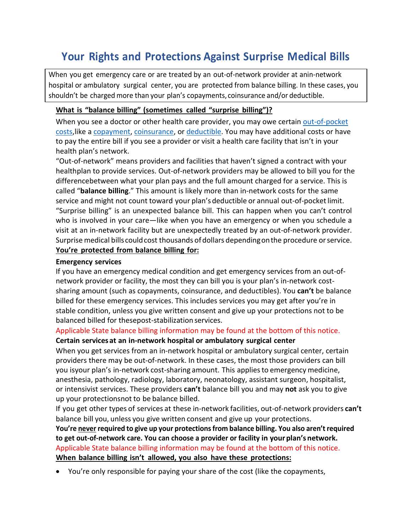# **Your Rights and Protections Against Surprise Medical Bills**

When you get emergency care or are treated by an out-of-network provider at anin-network hospital or ambulatory surgical center, you are protected from balance billing. In these cases, you shouldn't be charged more than your plan's copayments, coinsurance and/or deductible.

### **What is "balance billing" (sometimes called "surprise billing")?**

When you see a doctor or other health care provider, you may owe certain [out-of-pocket](https://www.healthcare.gov/glossary/out-of-pocket-costs/)  [costs,](https://www.healthcare.gov/glossary/out-of-pocket-costs/) like a [copayment,](https://www.healthcare.gov/glossary/co-payment/) [coinsurance,](https://www.healthcare.gov/glossary/co-insurance/) or [deductible.](https://www.healthcare.gov/glossary/deductible/) You may have additional costs or have to pay the entire bill if you see a provider or visit a health care facility that isn't in your health plan's network.

"Out-of-network" means providers and facilities that haven't signed a contract with your healthplan to provide services. Out-of-network providers may be allowed to bill you for the differencebetween what your plan pays and the full amount charged for a service. This is called "**balance billing**." This amount is likely more than in-network costs for the same service and might not count toward your plan's deductible or annual out-of-pocket limit. "Surprise billing" is an unexpected balance bill. This can happen when you can't control who is involved in your care—like when you have an emergency or when you schedule a visit at an in-network facility but are unexpectedly treated by an out-of-network provider. Surprise medical bills could cost thousands of dollars depending on the procedure or service. **You're protected from balance billing for:**

#### **Emergency services**

If you have an emergency medical condition and get emergency services from an out-ofnetwork provider or facility, the most they can bill you is your plan's in-network costsharing amount (such as copayments, coinsurance, and deductibles). You **can't** be balance billed for these emergency services. This includes services you may get after you're in stable condition, unless you give written consent and give up your protections not to be balanced billed for thesepost-stabilization services.

#### Applicable State balance billing information may be found at the bottom of this notice.

#### **Certain services at an in-network hospital or ambulatory surgical center**

When you get services from an in-network hospital or ambulatory surgical center, certain providers there may be out-of-network. In these cases, the most those providers can bill you isyour plan's in-network cost-sharing amount. This appliesto emergency medicine, anesthesia, pathology, radiology, laboratory, neonatology, assistant surgeon, hospitalist, or intensivist services. These providers **can't** balance bill you and may **not** ask you to give up your protectionsnot to be balance billed.

If you get other types of services at these in-network facilities, out-of-network providers **can't** balance bill you, unless you give written consent and give up your protections.

**You're never required to give up your protections from balance billing. You also aren't required to get out-of-network care. You can choose a provider or facility in your plan's network.** Applicable State balance billing information may be found at the bottom of this notice. **When balance billing isn't allowed, you also have these protections:**

• You're only responsible for paying your share of the cost (like the copayments,